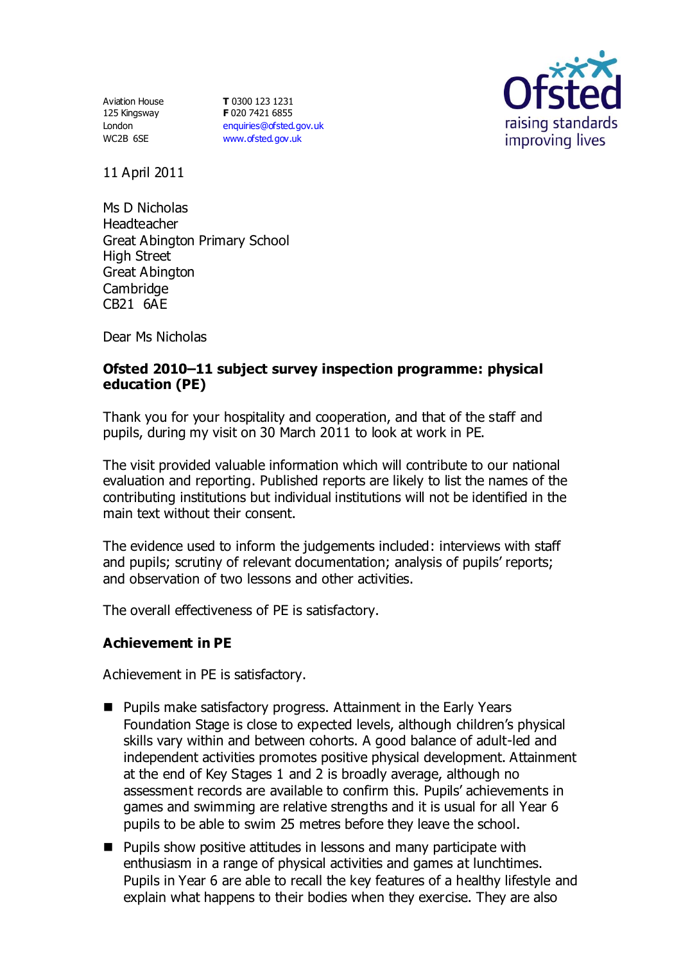Aviation House 125 Kingsway London WC2B 6SE

**T** 0300 123 1231 **F** 020 7421 6855 [enquiries@ofsted.gov.uk](mailto:enquiries@ofsted.gov.uk) [www.ofsted.gov.uk](http://www.ofsted.gov.uk/)



11 April 2011

Ms D Nicholas Headteacher Great Abington Primary School High Street Great Abington **Cambridge** CB21 6AE

Dear Ms Nicholas

## **Ofsted 2010–11 subject survey inspection programme: physical education (PE)**

Thank you for your hospitality and cooperation, and that of the staff and pupils, during my visit on 30 March 2011 to look at work in PE.

The visit provided valuable information which will contribute to our national evaluation and reporting. Published reports are likely to list the names of the contributing institutions but individual institutions will not be identified in the main text without their consent.

The evidence used to inform the judgements included: interviews with staff and pupils; scrutiny of relevant documentation; analysis of pupils' reports; and observation of two lessons and other activities.

The overall effectiveness of PE is satisfactory.

## **Achievement in PE**

Achievement in PE is satisfactory.

- Pupils make satisfactory progress. Attainment in the Early Years Foundation Stage is close to expected levels, although children's physical skills vary within and between cohorts. A good balance of adult-led and independent activities promotes positive physical development. Attainment at the end of Key Stages 1 and 2 is broadly average, although no assessment records are available to confirm this. Pupils' achievements in games and swimming are relative strengths and it is usual for all Year 6 pupils to be able to swim 25 metres before they leave the school.
- **Pupils show positive attitudes in lessons and many participate with** enthusiasm in a range of physical activities and games at lunchtimes. Pupils in Year 6 are able to recall the key features of a healthy lifestyle and explain what happens to their bodies when they exercise. They are also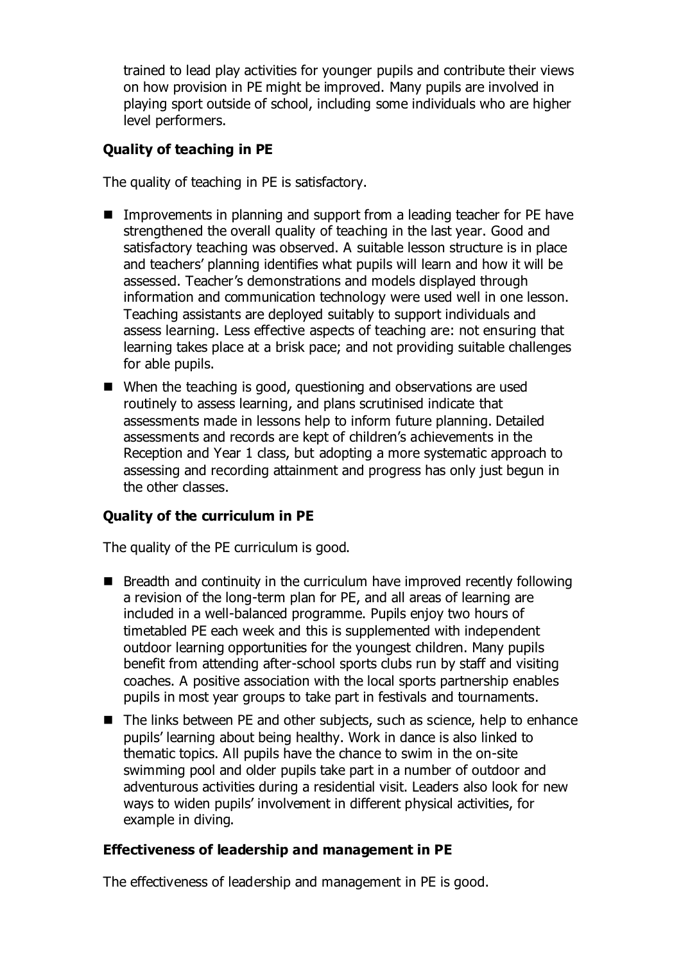trained to lead play activities for younger pupils and contribute their views on how provision in PE might be improved. Many pupils are involved in playing sport outside of school, including some individuals who are higher level performers.

## **Quality of teaching in PE**

The quality of teaching in PE is satisfactory.

- Improvements in planning and support from a leading teacher for PE have strengthened the overall quality of teaching in the last year. Good and satisfactory teaching was observed. A suitable lesson structure is in place and teachers' planning identifies what pupils will learn and how it will be assessed. Teacher's demonstrations and models displayed through information and communication technology were used well in one lesson. Teaching assistants are deployed suitably to support individuals and assess learning. Less effective aspects of teaching are: not ensuring that learning takes place at a brisk pace; and not providing suitable challenges for able pupils.
- When the teaching is good, questioning and observations are used routinely to assess learning, and plans scrutinised indicate that assessments made in lessons help to inform future planning. Detailed assessments and records are kept of children's achievements in the Reception and Year 1 class, but adopting a more systematic approach to assessing and recording attainment and progress has only just begun in the other classes.

# **Quality of the curriculum in PE**

The quality of the PE curriculum is good.

- $\blacksquare$  Breadth and continuity in the curriculum have improved recently following a revision of the long-term plan for PE, and all areas of learning are included in a well-balanced programme. Pupils enjoy two hours of timetabled PE each week and this is supplemented with independent outdoor learning opportunities for the youngest children. Many pupils benefit from attending after-school sports clubs run by staff and visiting coaches. A positive association with the local sports partnership enables pupils in most year groups to take part in festivals and tournaments.
- The links between PE and other subjects, such as science, help to enhance pupils' learning about being healthy. Work in dance is also linked to thematic topics. All pupils have the chance to swim in the on-site swimming pool and older pupils take part in a number of outdoor and adventurous activities during a residential visit. Leaders also look for new ways to widen pupils' involvement in different physical activities, for example in diving.

## **Effectiveness of leadership and management in PE**

The effectiveness of leadership and management in PE is good.